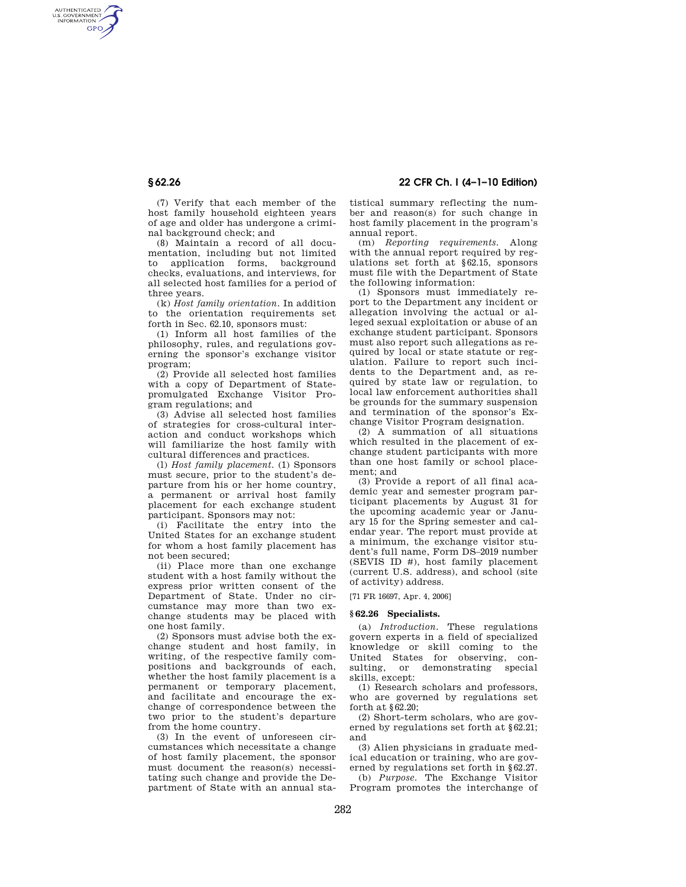AUTHENTICATED<br>U.S. GOVERNMENT<br>INFORMATION **GPO** 

> (7) Verify that each member of the host family household eighteen years of age and older has undergone a criminal background check; and

(8) Maintain a record of all documentation, including but not limited<br>to application forms, background to application forms, checks, evaluations, and interviews, for all selected host families for a period of three years.

(k) *Host family orientation.* In addition to the orientation requirements set forth in Sec. 62.10, sponsors must:

(1) Inform all host families of the philosophy, rules, and regulations governing the sponsor's exchange visitor program;

(2) Provide all selected host families with a copy of Department of Statepromulgated Exchange Visitor Program regulations; and

(3) Advise all selected host families of strategies for cross-cultural interaction and conduct workshops which will familiarize the host family with cultural differences and practices.

(l) *Host family placement.* (1) Sponsors must secure, prior to the student's departure from his or her home country, a permanent or arrival host family placement for each exchange student participant. Sponsors may not:

(i) Facilitate the entry into the United States for an exchange student for whom a host family placement has not been secured;

(ii) Place more than one exchange student with a host family without the express prior written consent of the Department of State. Under no circumstance may more than two exchange students may be placed with one host family.

(2) Sponsors must advise both the exchange student and host family, in writing, of the respective family compositions and backgrounds of each, whether the host family placement is a permanent or temporary placement, and facilitate and encourage the exchange of correspondence between the two prior to the student's departure from the home country.

(3) In the event of unforeseen circumstances which necessitate a change of host family placement, the sponsor must document the reason(s) necessitating such change and provide the Department of State with an annual sta-

**§ 62.26 22 CFR Ch. I (4–1–10 Edition)** 

tistical summary reflecting the number and reason(s) for such change in host family placement in the program's annual report.

(m) *Reporting requirements.* Along with the annual report required by regulations set forth at §62.15, sponsors must file with the Department of State the following information:

(1) Sponsors must immediately report to the Department any incident or allegation involving the actual or alleged sexual exploitation or abuse of an exchange student participant. Sponsors must also report such allegations as required by local or state statute or regulation. Failure to report such incidents to the Department and, as required by state law or regulation, to local law enforcement authorities shall be grounds for the summary suspension and termination of the sponsor's Exchange Visitor Program designation.

(2) A summation of all situations which resulted in the placement of exchange student participants with more than one host family or school placement; and

(3) Provide a report of all final academic year and semester program participant placements by August 31 for the upcoming academic year or January 15 for the Spring semester and calendar year. The report must provide at a minimum, the exchange visitor student's full name, Form DS–2019 number (SEVIS ID #), host family placement (current U.S. address), and school (site of activity) address.

[71 FR 16697, Apr. 4, 2006]

## **§ 62.26 Specialists.**

(a) *Introduction.* These regulations govern experts in a field of specialized knowledge or skill coming to the United States for observing, consulting, or demonstrating special skills, except:

(1) Research scholars and professors, who are governed by regulations set forth at §62.20;

(2) Short-term scholars, who are governed by regulations set forth at §62.21; and

(3) Alien physicians in graduate medical education or training, who are governed by regulations set forth in §62.27.

(b) *Purpose.* The Exchange Visitor Program promotes the interchange of